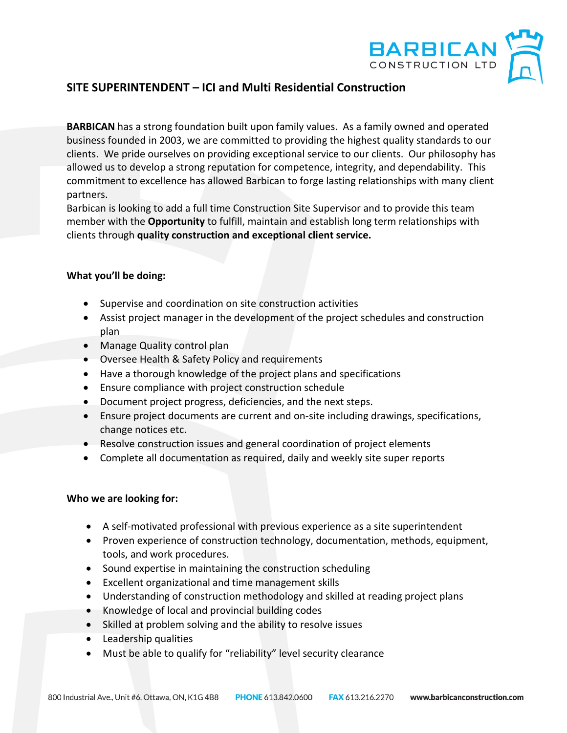

## **SITE SUPERINTENDENT – ICI and Multi Residential Construction**

**BARBICAN** has a strong foundation built upon family values. As a family owned and operated business founded in 2003, we are committed to providing the highest quality standards to our clients. We pride ourselves on providing exceptional service to our clients. Our philosophy has allowed us to develop a strong reputation for competence, integrity, and dependability. This commitment to excellence has allowed Barbican to forge lasting relationships with many client partners.

Barbican is looking to add a full time Construction Site Supervisor and to provide this team member with the **Opportunity** to fulfill, maintain and establish long term relationships with clients through **quality construction and exceptional client service.**

### **What you'll be doing:**

- Supervise and coordination on site construction activities
- Assist project manager in the development of the project schedules and construction plan
- Manage Quality control plan
- Oversee Health & Safety Policy and requirements
- Have a thorough knowledge of the project plans and specifications
- Ensure compliance with project construction schedule
- Document project progress, deficiencies, and the next steps.
- Ensure project documents are current and on-site including drawings, specifications, change notices etc.
- Resolve construction issues and general coordination of project elements
- Complete all documentation as required, daily and weekly site super reports

### **Who we are looking for:**

- A self-motivated professional with previous experience as a site superintendent
- Proven experience of construction technology, documentation, methods, equipment, tools, and work procedures.
- Sound expertise in maintaining the construction scheduling
- Excellent organizational and time management skills
- Understanding of construction methodology and skilled at reading project plans
- Knowledge of local and provincial building codes
- Skilled at problem solving and the ability to resolve issues
- Leadership qualities
- Must be able to qualify for "reliability" level security clearance